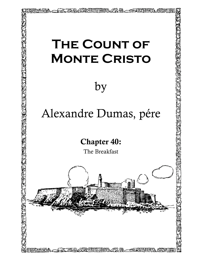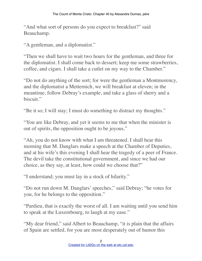"And what sort of persons do you expect to breakfast?" said Beauchamp.

"A gentleman, and a diplomatist."

"Then we shall have to wait two hours for the gentleman, and three for the diplomatist. I shall come back to dessert; keep me some strawberries, coffee, and cigars. I shall take a cutlet on my way to the Chamber."

"Do not do anything of the sort; for were the gentleman a Montmorency, and the diplomatist a Metternich, we will breakfast at eleven; in the meantime, follow Debray's example, and take a glass of sherry and a biscuit."

"Be it so; I will stay; I must do something to distract my thoughts."

"You are like Debray, and yet it seems to me that when the minister is out of spirits, the opposition ought to be joyous."

"Ah, you do not know with what I am threatened. I shall hear this morning that M. Danglars make a speech at the Chamber of Deputies, and at his wife's this evening I shall hear the tragedy of a peer of France. The devil take the constitutional government, and since we had our choice, as they say, at least, how could we choose that?"

"I understand; you must lay in a stock of hilarity."

"Do not run down M. Danglars' speeches," said Debray; "he votes for you, for he belongs to the opposition."

"Pardieu, that is exactly the worst of all. I am waiting until you send him to speak at the Luxembourg, to laugh at my ease."

"My dear friend," said Albert to Beauchamp, "it is plain that the affairs of Spain are settled, for you are most desperately out of humor this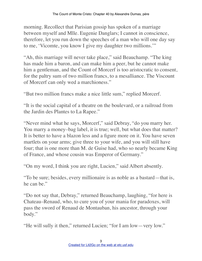morning. Recollect that Parisian gossip has spoken of a marriage between myself and Mlle. Eugenie Danglars; I cannot in conscience, therefore, let you run down the speeches of a man who will one day say to me, 'Vicomte, you know I give my daughter two millions.'"

"Ah, this marriage will never take place," said Beauchamp. "The king has made him a baron, and can make him a peer, but he cannot make him a gentleman, and the Count of Morcerf is too aristocratic to consent, for the paltry sum of two million francs, to a mesalliance. The Viscount of Morcerf can only wed a marchioness."

"But two million francs make a nice little sum," replied Morcerf.

"It is the social capital of a theatre on the boulevard, or a railroad from the Jardin des Plantes to La Rapee."

"Never mind what he says, Morcerf," said Debray, "do you marry her. You marry a money–bag label, it is true; well, but what does that matter? It is better to have a blazon less and a figure more on it. You have seven martlets on your arms; give three to your wife, and you will still have four; that is one more than M. de Guise had, who so nearly became King of France, and whose cousin was Emperor of Germany."

"On my word, I think you are right, Lucien," said Albert absently.

"To be sure; besides, every millionaire is as noble as a bastard—that is, he can be."

"Do not say that, Debray," returned Beauchamp, laughing, "for here is Chateau–Renaud, who, to cure you of your mania for paradoxes, will pass the sword of Renaud de Montauban, his ancestor, through your body."

"He will sully it then," returned Lucien; "for I am low—very low."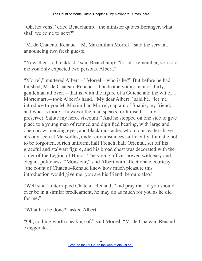"Oh, heavens," cried Beauchamp, "the minister quotes Beranger, what shall we come to next?"

"M. de Chateau–Renaud—M. Maximilian Morrel," said the servant, announcing two fresh guests.

"Now, then, to breakfast," said Beauchamp; "for, if I remember, you told me you only expected two persons, Albert."

"Morrel," muttered Albert—"Morrel—who is he?" But before he had finished, M. de Chateau–Renaud, a handsome young man of thirty, gentleman all over,—that is, with the figure of a Guiche and the wit of a Mortemart,—took Albert's hand. "My dear Albert," said he, "let me introduce to you M. Maximilian Morrel, captain of Spahis, my friend; and what is more—however the man speaks for himself—–my preserver. Salute my hero, viscount." And he stepped on one side to give place to a young man of refined and dignified bearing, with large and open brow, piercing eyes, and black mustache, whom our readers have already seen at Marseilles, under circumstances sufficiently dramatic not to be forgotten. A rich uniform, half French, half Oriental, set off his graceful and stalwart figure, and his broad chest was decorated with the order of the Legion of Honor. The young officer bowed with easy and elegant politeness. "Monsieur," said Albert with affectionate courtesy, "the count of Chateau–Renaud knew how much pleasure this introduction would give me; you are his friend, be ours also."

"Well said," interrupted Chateau–Renaud; "and pray that, if you should ever be in a similar predicament, he may do as much for you as he did for me"

"What has he done?" asked Albert.

"Oh, nothing worth speaking of," said Morrel; "M. de Chateau–Renaud exaggerates."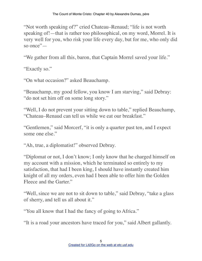"Not worth speaking of?" cried Chateau–Renaud; "life is not worth speaking of!—that is rather too philosophical, on my word, Morrel. It is very well for you, who risk your life every day, but for me, who only did so once"—

"We gather from all this, baron, that Captain Morrel saved your life."

"Exactly so."

"On what occasion?" asked Beauchamp.

"Beauchamp, my good fellow, you know I am starving," said Debray: "do not set him off on some long story."

"Well, I do not prevent your sitting down to table," replied Beauchamp, "Chateau–Renaud can tell us while we eat our breakfast."

"Gentlemen," said Morcerf, "it is only a quarter past ten, and I expect some one else."

"Ah, true, a diplomatist!" observed Debray.

"Diplomat or not, I don't know; I only know that he charged himself on my account with a mission, which he terminated so entirely to my satisfaction, that had I been king, I should have instantly created him knight of all my orders, even had I been able to offer him the Golden Fleece and the Garter."

"Well, since we are not to sit down to table," said Debray, "take a glass of sherry, and tell us all about it."

"You all know that I had the fancy of going to Africa."

"It is a road your ancestors have traced for you," said Albert gallantly.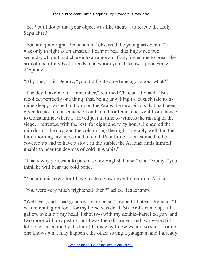"Yes? but I doubt that your object was like theirs—to rescue the Holy Sepulchre."

"You are quite right, Beauchamp," observed the young aristocrat. "It was only to fight as an amateur. I cannot bear duelling since two seconds, whom I had chosen to arrange an affair, forced me to break the arm of one of my best friends, one whom you all know—poor Franz d'Epinay."

"Ah, true," said Debray, "you did fight some time ago; about what?"

"The devil take me, if I remember," returned Chateau–Renaud. "But I recollect perfectly one thing, that, being unwilling to let such talents as mine sleep, I wished to try upon the Arabs the new pistols that had been given to me. In consequence I embarked for Oran, and went from thence to Constantine, where I arrived just in time to witness the raising of the siege. I retreated with the rest, for eight and forty hours. I endured the rain during the day, and the cold during the night tolerably well, but the third morning my horse died of cold. Poor brute—accustomed to be covered up and to have a stove in the stable, the Arabian finds himself unable to bear ten degrees of cold in Arabia."

"That's why you want to purchase my English horse," said Debray, "you think he will bear the cold better."

"You are mistaken, for I have made a vow never to return to Africa."

"You were very much frightened, then?" asked Beauchamp.

"Well, yes, and I had good reason to be so," replied Chateau–Renaud. "I was retreating on foot, for my horse was dead. Six Arabs came up, full gallop, to cut off my head. I shot two with my double–barrelled gun, and two more with my pistols, but I was then disarmed, and two were still left; one seized me by the hair (that is why I now wear it so short, for no one knows what may happen), the other swung a yataghan, and I already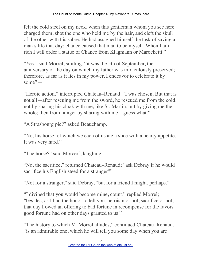felt the cold steel on my neck, when this gentleman whom you see here charged them, shot the one who held me by the hair, and cleft the skull of the other with his sabre. He had assigned himself the task of saving a man's life that day; chance caused that man to be myself. When I am rich I will order a statue of Chance from Klagmann or Marochetti."

"Yes," said Morrel, smiling, "it was the 5th of September, the anniversary of the day on which my father was miraculously preserved; therefore, as far as it lies in my power, I endeavor to celebrate it by some"—

"Heroic action," interrupted Chateau–Renaud. "I was chosen. But that is not all—after rescuing me from the sword, he rescued me from the cold, not by sharing his cloak with me, like St. Martin, but by giving me the whole; then from hunger by sharing with me—guess what?"

"A Strasbourg pie?" asked Beauchamp.

"No, his horse; of which we each of us ate a slice with a hearty appetite. It was very hard."

"The horse?" said Morcerf, laughing.

"No, the sacrifice," returned Chateau–Renaud; "ask Debray if he would sacrifice his English steed for a stranger?"

"Not for a stranger," said Debray, "but for a friend I might, perhaps."

"I divined that you would become mine, count," replied Morrel; "besides, as I had the honor to tell you, heroism or not, sacrifice or not, that day I owed an offering to bad fortune in recompense for the favors good fortune had on other days granted to us."

"The history to which M. Morrel alludes," continued Chateau–Renaud, "is an admirable one, which he will tell you some day when you are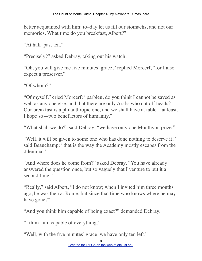better acquainted with him; to–day let us fill our stomachs, and not our memories. What time do you breakfast, Albert?"

"At half–past ten."

"Precisely?" asked Debray, taking out his watch.

"Oh, you will give me five minutes' grace," replied Morcerf, "for I also expect a preserver."

"Of whom?"

"Of myself," cried Morcerf; "parbleu, do you think I cannot be saved as well as any one else, and that there are only Arabs who cut off heads? Our breakfast is a philanthropic one, and we shall have at table—at least, I hope so—two benefactors of humanity."

"What shall we do?" said Debray; "we have only one Monthyon prize."

"Well, it will be given to some one who has done nothing to deserve it," said Beauchamp; "that is the way the Academy mostly escapes from the dilemma."

"And where does he come from?" asked Debray. "You have already answered the question once, but so vaguely that I venture to put it a second time."

"Really," said Albert, "I do not know; when I invited him three months ago, he was then at Rome, but since that time who knows where he may have gone?"

"And you think him capable of being exact?" demanded Debray.

"I think him capable of everything."

"Well, with the five minutes' grace, we have only ten left."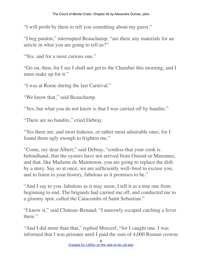"I will profit by them to tell you something about my guest."

"I beg pardon," interrupted Beauchamp; "are there any materials for an article in what you are going to tell us?"

"Yes, and for a most curious one."

"Go on, then, for I see I shall not get to the Chamber this morning, and I must make up for it."

"I was at Rome during the last Carnival."

"We know that," said Beauchamp.

"Yes, but what you do not know is that I was carried off by bandits."

"There are no bandits," cried Debray.

"Yes there are, and most hideous, or rather most admirable ones, for I found them ugly enough to frighten me."

"Come, my dear Albert," said Debray, "confess that your cook is behindhand, that the oysters have not arrived from Ostend or Marennes, and that, like Madame de Maintenon, you are going to replace the dish by a story. Say so at once; we are sufficiently well–bred to excuse you, and to listen to your history, fabulous as it promises to be."

"And I say to you, fabulous as it may seem, I tell it as a true one from beginning to end. The brigands had carried me off, and conducted me to a gloomy spot, called the Catacombs of Saint Sebastian."

"I know it," said Chateau–Renaud; "I narrowly escaped catching a fever there."

"And I did more than that," replied Morcerf, "for I caught one. I was informed that I was prisoner until I paid the sum of 4,000 Roman crowns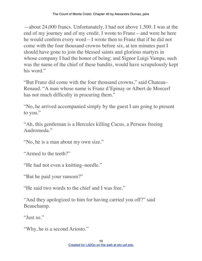—about 24,000 francs. Unfortunately, I had not above 1,500. I was at the end of my journey and of my credit. I wrote to Franz—and were he here he would confirm every word—I wrote then to Franz that if he did not come with the four thousand crowns before six, at ten minutes past I should have gone to join the blessed saints and glorious martyrs in whose company I had the honor of being; and Signor Luigi Vampa, such was the name of the chief of these bandits, would have scrupulously kept his word."

"But Franz did come with the four thousand crowns," said Chateau– Renaud. "A man whose name is Franz d'Epinay or Albert de Morcerf has not much difficulty in procuring them."

"No, he arrived accompanied simply by the guest I am going to present to you."

"Ah, this gentleman is a Hercules killing Cacus, a Perseus freeing Andromeda."

"No, he is a man about my own size."

"Armed to the teeth?"

"He had not even a knitting–needle."

"But he paid your ransom?"

"He said two words to the chief and I was free."

"And they apologized to him for having carried you off?" said Beauchamp.

"Just so."

"Why, he is a second Ariosto."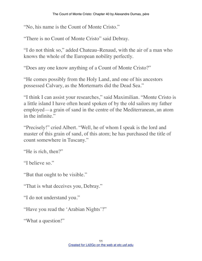"No, his name is the Count of Monte Cristo."

"There is no Count of Monte Cristo" said Debray.

"I do not think so," added Chateau–Renaud, with the air of a man who knows the whole of the European nobility perfectly.

"Does any one know anything of a Count of Monte Cristo?"

"He comes possibly from the Holy Land, and one of his ancestors possessed Calvary, as the Mortemarts did the Dead Sea."

"I think I can assist your researches," said Maximilian. "Monte Cristo is a little island I have often heard spoken of by the old sailors my father employed—a grain of sand in the centre of the Mediterranean, an atom in the infinite."

"Precisely!" cried Albert. "Well, he of whom I speak is the lord and master of this grain of sand, of this atom; he has purchased the title of count somewhere in Tuscany."

"He is rich, then?"

"I believe so."

"But that ought to be visible."

"That is what deceives you, Debray."

"I do not understand you."

"Have you read the 'Arabian Nights'?"

"What a question!"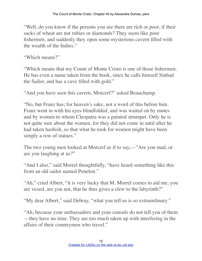"Well, do you know if the persons you see there are rich or poor, if their sacks of wheat are not rubies or diamonds? They seem like poor fishermen, and suddenly they open some mysterious cavern filled with the wealth of the Indies."

"Which means?"

"Which means that my Count of Monte Cristo is one of those fishermen. He has even a name taken from the book, since he calls himself Sinbad the Sailor, and has a cave filled with gold."

"And you have seen this cavern, Morcerf?" asked Beauchamp.

"No, but Franz has; for heaven's sake, not a word of this before him. Franz went in with his eyes blindfolded, and was waited on by mutes and by women to whom Cleopatra was a painted strumpet. Only he is not quite sure about the women, for they did not come in until after he had taken hashish, so that what he took for women might have been simply a row of statues."

The two young men looked at Morcerf as if to say,—"Are you mad, or are you laughing at us?"

"And I also," said Morrel thoughtfully, "have heard something like this from an old sailor named Penelon."

"Ah," cried Albert, "it is very lucky that M. Morrel comes to aid me; you are vexed, are you not, that he thus gives a clew to the labyrinth?"

"My dear Albert," said Debray, "what you tell us is so extraordinary."

"Ah, because your ambassadors and your consuls do not tell you of them —they have no time. They are too much taken up with interfering in the affairs of their countrymen who travel."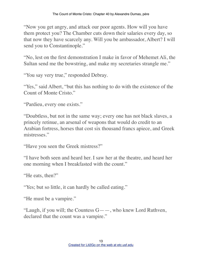"Now you get angry, and attack our poor agents. How will you have them protect you? The Chamber cuts down their salaries every day, so that now they have scarcely any. Will you be ambassador, Albert? I will send you to Constantinople."

"No, lest on the first demonstration I make in favor of Mehemet Ali, the Sultan send me the bowstring, and make my secretaries strangle me."

"You say very true," responded Debray.

"Yes," said Albert, "but this has nothing to do with the existence of the Count of Monte Cristo."

"Pardieu, every one exists."

"Doubtless, but not in the same way; every one has not black slaves, a princely retinue, an arsenal of weapons that would do credit to an Arabian fortress, horses that cost six thousand francs apiece, and Greek mistresses."

"Have you seen the Greek mistress?"

"I have both seen and heard her. I saw her at the theatre, and heard her one morning when I breakfasted with the count."

"He eats, then?"

"Yes; but so little, it can hardly be called eating."

"He must be a vampire."

"Laugh, if you will; the Countess  $G_{\text{---}}$ , who knew Lord Ruthven, declared that the count was a vampire."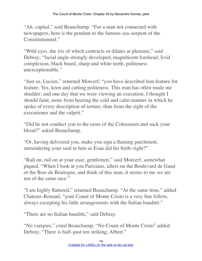"Ah, capital," said Beauchamp. "For a man not connected with newspapers, here is the pendant to the famous sea–serpent of the Constitutionnel."

"Wild eyes, the iris of which contracts or dilates at pleasure," said Debray; "facial angle strongly developed, magnificent forehead, livid complexion, black beard, sharp and white teeth, politeness unexceptionable."

"Just so, Lucien," returned Morcerf; "you have described him feature for feature. Yes, keen and cutting politeness. This man has often made me shudder; and one day that we were viewing an execution, I thought I should faint, more from hearing the cold and calm manner in which he spoke of every description of torture, than from the sight of the executioner and the culprit."

"Did he not conduct you to the ruins of the Colosseum and suck your blood?" asked Beauchamp.

"Or, having delivered you, make you sign a flaming parchment, surrendering your soul to him as Esau did his birth–right?"

"Rail on, rail on at your ease, gentlemen," said Morcerf, somewhat piqued. "When I look at you Parisians, idlers on the Boulevard de Gand or the Bois de Boulogne, and think of this man, it seems to me we are not of the same race."

"I am highly flattered," returned Beauchamp. "At the same time," added Chateau–Renaud, "your Count of Monte Cristo is a very fine fellow, always excepting his little arrangements with the Italian banditti."

"There are no Italian banditti," said Debray.

"No vampire," cried Beauchamp. "No Count of Monte Cristo" added Debray. "There is half–past ten striking, Albert."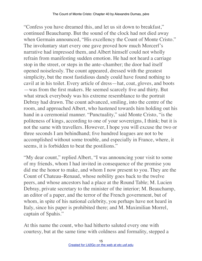"Confess you have dreamed this, and let us sit down to breakfast," continued Beauchamp. But the sound of the clock had not died away when Germain announced, "His excellency the Count of Monte Cristo." The involuntary start every one gave proved how much Morcerf's narrative had impressed them, and Albert himself could not wholly refrain from manifesting sudden emotion. He had not heard a carriage stop in the street, or steps in the ante–chamber; the door had itself opened noiselessly. The count appeared, dressed with the greatest simplicity, but the most fastidious dandy could have found nothing to cavil at in his toilet. Every article of dress—hat, coat, gloves, and boots —was from the first makers. He seemed scarcely five and thirty. But what struck everybody was his extreme resemblance to the portrait Debray had drawn. The count advanced, smiling, into the centre of the room, and approached Albert, who hastened towards him holding out his hand in a ceremonial manner. "Punctuality," said Monte Cristo, "is the politeness of kings, according to one of your sovereigns, I think; but it is not the same with travellers. However, I hope you will excuse the two or three seconds I am behindhand; five hundred leagues are not to be accomplished without some trouble, and especially in France, where, it seems, it is forbidden to beat the postilions."

"My dear count," replied Albert, "I was announcing your visit to some of my friends, whom I had invited in consequence of the promise you did me the honor to make, and whom I now present to you. They are the Count of Chateau–Renaud, whose nobility goes back to the twelve peers, and whose ancestors had a place at the Round Table; M. Lucien Debray, private secretary to the minister of the interior; M. Beauchamp, an editor of a paper, and the terror of the French government, but of whom, in spite of his national celebrity, you perhaps have not heard in Italy, since his paper is prohibited there; and M. Maximilian Morrel, captain of Spahis."

At this name the count, who had hitherto saluted every one with courtesy, but at the same time with coldness and formality, stepped a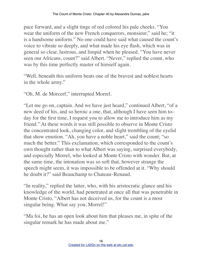pace forward, and a slight tinge of red colored his pale cheeks. "You wear the uniform of the new French conquerors, monsieur," said he; "it is a handsome uniform." No one could have said what caused the count's voice to vibrate so deeply, and what made his eye flash, which was in general so clear, lustrous, and limpid when he pleased. "You have never seen our Africans, count?" said Albert. "Never," replied the count, who was by this time perfectly master of himself again.

"Well, beneath this uniform beats one of the bravest and noblest hearts in the whole army."

"Oh, M. de Morcerf," interrupted Morrel.

"Let me go on, captain. And we have just heard," continued Albert, "of a new deed of his, and so heroic a one, that, although I have seen him to– day for the first time, I request you to allow me to introduce him as my friend." At these words it was still possible to observe in Monte Cristo the concentrated look, changing color, and slight trembling of the eyelid that show emotion. "Ah, you have a noble heart," said the count; "so much the better." This exclamation, which corresponded to the count's own thought rather than to what Albert was saying, surprised everybody, and especially Morrel, who looked at Monte Cristo with wonder. But, at the same time, the intonation was so soft that, however strange the speech might seem, it was impossible to be offended at it. "Why should he doubt it?" said Beauchamp to Chateau–Renaud.

"In reality," replied the latter, who, with his aristocratic glance and his knowledge of the world, had penetrated at once all that was penetrable in Monte Cristo, "Albert has not deceived us, for the count is a most singular being. What say you, Morrel!"

"Ma foi, he has an open look about him that pleases me, in spite of the singular remark he has made about me."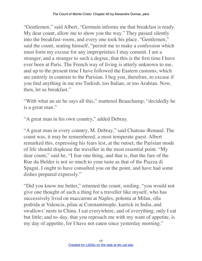"Gentlemen," said Albert, "Germain informs me that breakfast is ready. My dear count, allow me to show you the way." They passed silently into the breakfast–room, and every one took his place. "Gentlemen," said the count, seating himself, "permit me to make a confession which must form my excuse for any improprieties I may commit. I am a stranger, and a stranger to such a degree, that this is the first time I have ever been at Paris. The French way of living is utterly unknown to me, and up to the present time I have followed the Eastern customs, which are entirely in contrast to the Parisian. I beg you, therefore, to excuse if you find anything in me too Turkish, too Italian, or too Arabian. Now, then, let us breakfast."

"With what an air he says all this," muttered Beauchamp; "decidedly he is a great man."

"A great man in his own country," added Debray.

"A great man in every country, M. Debray," said Chateau–Renaud. The count was, it may be remembered, a most temperate guest. Albert remarked this, expressing his fears lest, at the outset, the Parisian mode of life should displease the traveller in the most essential point. "My dear count," said he, "I fear one thing, and that is, that the fare of the Rue du Helder is not so much to your taste as that of the Piazza di Spagni. I ought to have consulted you on the point, and have had some dishes prepared expressly."

"Did you know me better," returned the count, smiling, "you would not give one thought of such a thing for a traveller like myself, who has successively lived on maccaroni at Naples, polenta at Milan, olla podrida at Valencia, pilau at Constantinople, karrick in India, and swallows' nests in China. I eat everywhere, and of everything, only I eat but little; and to–day, that you reproach me with my want of appetite, is my day of appetite, for I have not eaten since yesterday morning."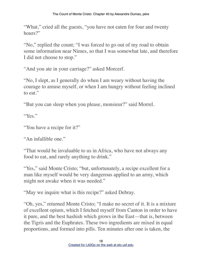"What," cried all the guests, "you have not eaten for four and twenty hours?"

"No," replied the count; "I was forced to go out of my road to obtain some information near Nimes, so that I was somewhat late, and therefore I did not choose to stop."

"And you ate in your carriage?" asked Morcerf.

"No, I slept, as I generally do when I am weary without having the courage to amuse myself, or when I am hungry without feeling inclined to eat."

"But you can sleep when you please, monsieur?" said Morrel.

"Yes."

"You have a recipe for it?"

"An infallible one."

"That would be invaluable to us in Africa, who have not always any food to eat, and rarely anything to drink."

"Yes," said Monte Cristo; "but, unfortunately, a recipe excellent for a man like myself would be very dangerous applied to an army, which might not awake when it was needed."

"May we inquire what is this recipe?" asked Debray.

"Oh, yes," returned Monte Cristo; "I make no secret of it. It is a mixture of excellent opium, which I fetched myself from Canton in order to have it pure, and the best hashish which grows in the East—that is, between the Tigris and the Euphrates. These two ingredients are mixed in equal proportions, and formed into pills. Ten minutes after one is taken, the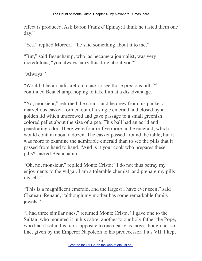effect is produced. Ask Baron Franz d'Epinay; I think he tasted them one day."

"Yes," replied Morcerf, "he said something about it to me."

"But," said Beauchamp, who, as became a journalist, was very incredulous, "you always carry this drug about you?"

"Always."

"Would it be an indiscretion to ask to see those precious pills?" continued Beauchamp, hoping to take him at a disadvantage.

"No, monsieur," returned the count; and he drew from his pocket a marvellous casket, formed out of a single emerald and closed by a golden lid which unscrewed and gave passage to a small greenish colored pellet about the size of a pea. This ball had an acrid and penetrating odor. There were four or five more in the emerald, which would contain about a dozen. The casket passed around the table, but it was more to examine the admirable emerald than to see the pills that it passed from hand to hand. "And is it your cook who prepares these pills?" asked Beauchamp.

"Oh, no, monsieur," replied Monte Cristo; "I do not thus betray my enjoyments to the vulgar. I am a tolerable chemist, and prepare my pills myself."

"This is a magnificent emerald, and the largest I have ever seen," said Chateau–Renaud, "although my mother has some remarkable family jewels."

"I had three similar ones," returned Monte Cristo. "I gave one to the Sultan, who mounted it in his sabre; another to our holy father the Pope, who had it set in his tiara, opposite to one nearly as large, though not so fine, given by the Emperor Napoleon to his predecessor, Pius VII. I kept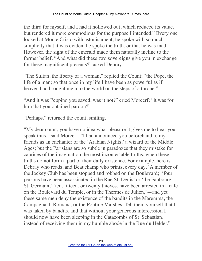the third for myself, and I had it hollowed out, which reduced its value, but rendered it more commodious for the purpose I intended." Every one looked at Monte Cristo with astonishment; he spoke with so much simplicity that it was evident he spoke the truth, or that he was mad. However, the sight of the emerald made them naturally incline to the former belief. "And what did these two sovereigns give you in exchange for these magnificent presents?" asked Debray.

"The Sultan, the liberty of a woman," replied the Count; "the Pope, the life of a man; so that once in my life I have been as powerful as if heaven had brought me into the world on the steps of a throne."

"And it was Peppino you saved, was it not?" cried Morcerf; "it was for him that you obtained pardon?"

"Perhaps," returned the count, smiling.

"My dear count, you have no idea what pleasure it gives me to hear you speak thus," said Morcerf. "I had announced you beforehand to my friends as an enchanter of the 'Arabian Nights,' a wizard of the Middle Ages; but the Parisians are so subtle in paradoxes that they mistake for caprices of the imagination the most incontestable truths, when these truths do not form a part of their daily existence. For example, here is Debray who reads, and Beauchamp who prints, every day, 'A member of the Jockey Club has been stopped and robbed on the Boulevard;' 'four persons have been assassinated in the Rue St. Denis' or 'the Faubourg St. Germain;' 'ten, fifteen, or twenty thieves, have been arrested in a cafe on the Boulevard du Temple, or in the Thermes de Julien,'—and yet these same men deny the existence of the bandits in the Maremma, the Campagna di Romana, or the Pontine Marshes. Tell them yourself that I was taken by bandits, and that without your generous intercession I should now have been sleeping in the Catacombs of St. Sebastian, instead of receiving them in my humble abode in the Rue du Helder."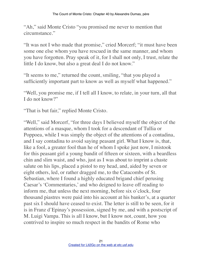"Ah," said Monte Cristo "you promised me never to mention that circumstance."

"It was not I who made that promise," cried Morcerf; "it must have been some one else whom you have rescued in the same manner, and whom you have forgotten. Pray speak of it, for I shall not only, I trust, relate the little I do know, but also a great deal I do not know."

"It seems to me," returned the count, smiling, "that you played a sufficiently important part to know as well as myself what happened."

"Well, you promise me, if I tell all I know, to relate, in your turn, all that I do not know?"

"That is but fair," replied Monte Cristo.

"Well," said Morcerf, "for three days I believed myself the object of the attentions of a masque, whom I took for a descendant of Tullia or Poppoea, while I was simply the object of the attentions of a contadina, and I say contadina to avoid saying peasant girl. What I know is, that, like a fool, a greater fool than he of whom I spoke just now, I mistook for this peasant girl a young bandit of fifteen or sixteen, with a beardless chin and slim waist, and who, just as I was about to imprint a chaste salute on his lips, placed a pistol to my head, and, aided by seven or eight others, led, or rather dragged me, to the Catacombs of St. Sebastian, where I found a highly educated brigand chief perusing Caesar's 'Commentaries,' and who deigned to leave off reading to inform me, that unless the next morning, before six o'clock, four thousand piastres were paid into his account at his banker's, at a quarter past six I should have ceased to exist. The letter is still to be seen, for it is in Franz d'Epinay's possession, signed by me, and with a postscript of M. Luigi Vampa. This is all I know, but I know not, count, how you contrived to inspire so much respect in the bandits of Rome who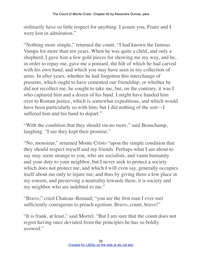ordinarily have so little respect for anything. I assure you, Franz and I were lost in admiration."

"Nothing more simple," returned the count. "I had known the famous Vampa for more than ten years. When he was quite a child, and only a shepherd, I gave him a few gold pieces for showing me my way, and he, in order to repay me, gave me a poniard, the hilt of which he had carved with his own hand, and which you may have seen in my collection of arms. In after years, whether he had forgotten this interchange of presents, which ought to have cemented our friendship, or whether he did not recollect me, he sought to take me, but, on the contrary, it was I who captured him and a dozen of his band. I might have handed him over to Roman justice, which is somewhat expeditious, and which would have been particularly so with him; but I did nothing of the sort—I suffered him and his band to depart."

"With the condition that they should sin no more," said Beauchamp, laughing. "I see they kept their promise."

"No, monsieur," returned Monte Cristo "upon the simple condition that they should respect myself and my friends. Perhaps what I am about to say may seem strange to you, who are socialists, and vaunt humanity and your duty to your neighbor, but I never seek to protect a society which does not protect me, and which I will even say, generally occupies itself about me only to injure me; and thus by giving them a low place in my esteem, and preserving a neutrality towards them, it is society and my neighbor who are indebted to me."

"Bravo," cried Chateau–Renaud; "you are the first man I ever met sufficiently courageous to preach egotism. Bravo, count, bravo!"

"It is frank, at least," said Morrel. "But I am sure that the count does not regret having once deviated from the principles he has so boldly avowed."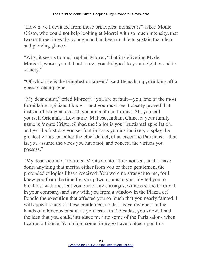"How have I deviated from those principles, monsieur?" asked Monte Cristo, who could not help looking at Morrel with so much intensity, that two or three times the young man had been unable to sustain that clear and piercing glance.

"Why, it seems to me," replied Morrel, "that in delivering M. de Morcerf, whom you did not know, you did good to your neighbor and to society."

"Of which he is the brightest ornament," said Beauchamp, drinking off a glass of champagne.

"My dear count," cried Morcerf, "you are at fault—you, one of the most formidable logicians I know—and you must see it clearly proved that instead of being an egotist, you are a philanthropist. Ah, you call yourself Oriental, a Levantine, Maltese, Indian, Chinese; your family name is Monte Cristo; Sinbad the Sailor is your baptismal appellation, and yet the first day you set foot in Paris you instinctively display the greatest virtue, or rather the chief defect, of us eccentric Parisians,—that is, you assume the vices you have not, and conceal the virtues you possess."

"My dear vicomte," returned Monte Cristo, "I do not see, in all I have done, anything that merits, either from you or these gentlemen, the pretended eulogies I have received. You were no stranger to me, for I knew you from the time I gave up two rooms to you, invited you to breakfast with me, lent you one of my carriages, witnessed the Carnival in your company, and saw with you from a window in the Piazza del Popolo the execution that affected you so much that you nearly fainted. I will appeal to any of these gentlemen, could I leave my guest in the hands of a hideous bandit, as you term him? Besides, you know, I had the idea that you could introduce me into some of the Paris salons when I came to France. You might some time ago have looked upon this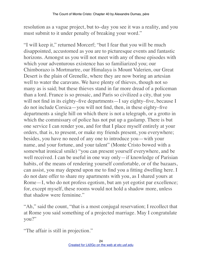resolution as a vague project, but to–day you see it was a reality, and you must submit to it under penalty of breaking your word."

"I will keep it," returned Morcerf; "but I fear that you will be much disappointed, accustomed as you are to picturesque events and fantastic horizons. Amongst us you will not meet with any of those episodes with which your adventurous existence has so familiarized you; our Chimborazo is Mortmartre, our Himalaya is Mount Valerien, our Great Desert is the plain of Grenelle, where they are now boring an artesian well to water the caravans. We have plenty of thieves, though not so many as is said; but these thieves stand in far more dread of a policeman than a lord. France is so prosaic, and Paris so civilized a city, that you will not find in its eighty–five departments—I say eighty–five, because I do not include Corsica—you will not find, then, in these eighty–five departments a single hill on which there is not a telegraph, or a grotto in which the commissary of police has not put up a gaslamp. There is but one service I can render you, and for that I place myself entirely at your orders, that is, to present, or make my friends present, you everywhere; besides, you have no need of any one to introduce you—with your name, and your fortune, and your talent" (Monte Cristo bowed with a somewhat ironical smile) "you can present yourself everywhere, and be well received. I can be useful in one way only—if knowledge of Parisian habits, of the means of rendering yourself comfortable, or of the bazaars, can assist, you may depend upon me to find you a fitting dwelling here. I do not dare offer to share my apartments with you, as I shared yours at Rome—I, who do not profess egotism, but am yet egotist par excellence; for, except myself, these rooms would not hold a shadow more, unless that shadow were feminine."

"Ah," said the count, "that is a most conjugal reservation; I recollect that at Rome you said something of a projected marriage. May I congratulate you?"

"The affair is still in projection."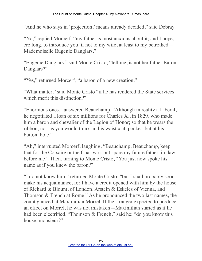"And he who says in 'projection,' means already decided," said Debray.

"No," replied Morcerf, "my father is most anxious about it; and I hope, ere long, to introduce you, if not to my wife, at least to my betrothed— Mademoiselle Eugenie Danglars."

"Eugenie Danglars," said Monte Cristo; "tell me, is not her father Baron Danglars?"

"Yes," returned Morcerf, "a baron of a new creation."

"What matter," said Monte Cristo "if he has rendered the State services which merit this distinction?"

"Enormous ones," answered Beauchamp. "Although in reality a Liberal, he negotiated a loan of six millions for Charles X., in 1829, who made him a baron and chevalier of the Legion of Honor; so that he wears the ribbon, not, as you would think, in his waistcoat–pocket, but at his button–hole."

"Ah," interrupted Morcerf, laughing, "Beauchamp, Beauchamp, keep that for the Corsaire or the Charivari, but spare my future father–in–law before me." Then, turning to Monte Cristo, "You just now spoke his name as if you knew the baron?"

"I do not know him," returned Monte Cristo; "but I shall probably soon make his acquaintance, for I have a credit opened with him by the house of Richard & Blount, of London, Arstein & Eskeles of Vienna, and Thomson & French at Rome." As he pronounced the two last names, the count glanced at Maximilian Morrel. If the stranger expected to produce an effect on Morrel, he was not mistaken—Maximilian started as if he had been electrified. "Thomson & French," said he; "do you know this house, monsieur?"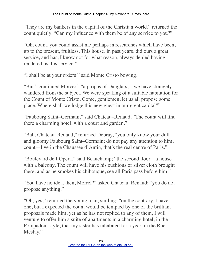"They are my bankers in the capital of the Christian world," returned the count quietly. "Can my influence with them be of any service to you?"

"Oh, count, you could assist me perhaps in researches which have been, up to the present, fruitless. This house, in past years, did ours a great service, and has, I know not for what reason, always denied having rendered us this service."

"I shall be at your orders," said Monte Cristo bowing.

"But," continued Morcerf, "a propos of Danglars,—we have strangely wandered from the subject. We were speaking of a suitable habitation for the Count of Monte Cristo. Come, gentlemen, let us all propose some place. Where shall we lodge this new guest in our great capital?"

"Faubourg Saint–Germain," said Chateau–Renaud. "The count will find there a charming hotel, with a court and garden."

"Bah, Chateau–Renaud," returned Debray, "you only know your dull and gloomy Faubourg Saint–Germain; do not pay any attention to him, count—live in the Chaussee d'Antin, that's the real centre of Paris."

"Boulevard de l'Opera," said Beauchamp; "the second floor—a house with a balcony. The count will have his cushions of silver cloth brought there, and as he smokes his chibouque, see all Paris pass before him."

"You have no idea, then, Morrel?" asked Chateau–Renaud; "you do not propose anything."

"Oh, yes," returned the young man, smiling; "on the contrary, I have one, but I expected the count would be tempted by one of the brilliant proposals made him, yet as he has not replied to any of them, I will venture to offer him a suite of apartments in a charming hotel, in the Pompadour style, that my sister has inhabited for a year, in the Rue Meslay."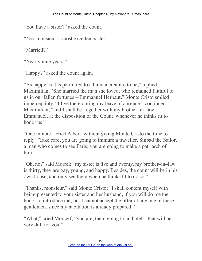"You have a sister?" asked the count.

"Yes, monsieur, a most excellent sister."

"Married?"

"Nearly nine years."

"Happy?" asked the count again.

"As happy as it is permitted to a human creature to be," replied Maximilian. "She married the man she loved, who remained faithful to us in our fallen fortunes—Emmanuel Herbaut." Monte Cristo smiled imperceptibly. "I live there during my leave of absence," continued Maximilian; "and I shall be, together with my brother–in–law Emmanuel, at the disposition of the Count, whenever he thinks fit to honor us"

"One minute," cried Albert, without giving Monte Cristo the time to reply. "Take care, you are going to immure a traveller, Sinbad the Sailor, a man who comes to see Paris; you are going to make a patriarch of him."

"Oh, no," said Morrel; "my sister is five and twenty, my brother–in–law is thirty, they are gay, young, and happy. Besides, the count will be in his own house, and only see them when he thinks fit to do so."

"Thanks, monsieur," said Monte Cristo; "I shall content myself with being presented to your sister and her husband, if you will do me the honor to introduce me; but I cannot accept the offer of any one of these gentlemen, since my habitation is already prepared."

"What," cried Morcerf; "you are, then, going to an hotel—that will be very dull for you."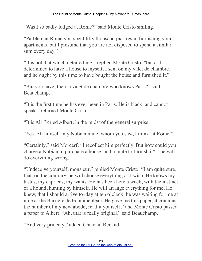"Was I so badly lodged at Rome?" said Monte Cristo smiling.

"Parbleu, at Rome you spent fifty thousand piastres in furnishing your apartments, but I presume that you are not disposed to spend a similar sum every day."

"It is not that which deterred me," replied Monte Cristo; "but as I determined to have a house to myself, I sent on my valet de chambre, and he ought by this time to have bought the house and furnished it."

"But you have, then, a valet de chambre who knows Paris?" said Beauchamp.

"It is the first time he has ever been in Paris. He is black, and cannot speak," returned Monte Cristo.

"It is Ali!" cried Albert, in the midst of the general surprise.

"Yes, Ali himself, my Nubian mute, whom you saw, I think, at Rome."

"Certainly," said Morcerf; "I recollect him perfectly. But how could you charge a Nubian to purchase a house, and a mute to furnish it?—he will do everything wrong."

"Undeceive yourself, monsieur," replied Monte Cristo; "I am quite sure, that, on the contrary, he will choose everything as I wish. He knows my tastes, my caprices, my wants. He has been here a week, with the instinct of a hound, hunting by himself. He will arrange everything for me. He knew, that I should arrive to–day at ten o'clock; he was waiting for me at nine at the Barriere de Fontainebleau. He gave me this paper; it contains the number of my new abode; read it yourself," and Monte Cristo passed a paper to Albert. "Ah, that is really original," said Beauchamp.

"And very princely," added Chateau–Renaud.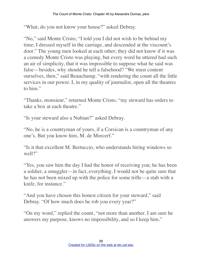"What, do you not know your house?" asked Debray.

"No," said Monte Cristo; "I told you I did not wish to be behind my time; I dressed myself in the carriage, and descended at the viscount's door." The young men looked at each other; they did not know if it was a comedy Monte Cristo was playing, but every word he uttered had such an air of simplicity, that it was impossible to suppose what he said was false—besides, why should he tell a falsehood? "We must content ourselves, then," said Beauchamp, "with rendering the count all the little services in our power. I, in my quality of journalist, open all the theatres to him."

"Thanks, monsieur," returned Monte Cristo, "my steward has orders to take a box at each theatre."

"Is your steward also a Nubian?" asked Debray.

"No, he is a countryman of yours, if a Corsican is a countryman of any one's. But you know him, M. de Morcerf."

"Is it that excellent M. Bertuccio, who understands hiring windows so well?"

"Yes, you saw him the day I had the honor of receiving you; he has been a soldier, a smuggler—in fact, everything. I would not be quite sure that he has not been mixed up with the police for some trifle—a stab with a knife, for instance."

"And you have chosen this honest citizen for your steward," said Debray. "Of how much does he rob you every year?"

"On my word," replied the count, "not more than another. I am sure he answers my purpose, knows no impossibility, and so I keep him."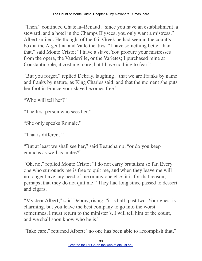"Then," continued Chateau–Renaud, "since you have an establishment, a steward, and a hotel in the Champs Elysees, you only want a mistress." Albert smiled. He thought of the fair Greek he had seen in the count's box at the Argentina and Valle theatres. "I have something better than that," said Monte Cristo; "I have a slave. You procure your mistresses from the opera, the Vaudeville, or the Varietes; I purchased mine at Constantinople; it cost me more, but I have nothing to fear."

"But you forget," replied Debray, laughing, "that we are Franks by name and franks by nature, as King Charles said, and that the moment she puts her foot in France your slave becomes free."

"Who will tell her?"

"The first person who sees her."

"She only speaks Romaic."

"That is different."

"But at least we shall see her," said Beauchamp, "or do you keep eunuchs as well as mutes?"

"Oh, no," replied Monte Cristo; "I do not carry brutalism so far. Every one who surrounds me is free to quit me, and when they leave me will no longer have any need of me or any one else; it is for that reason, perhaps, that they do not quit me." They had long since passed to dessert and cigars.

"My dear Albert," said Debray, rising, "it is half–past two. Your guest is charming, but you leave the best company to go into the worst sometimes. I must return to the minister's. I will tell him of the count, and we shall soon know who he is."

"Take care," returned Albert; "no one has been able to accomplish that."